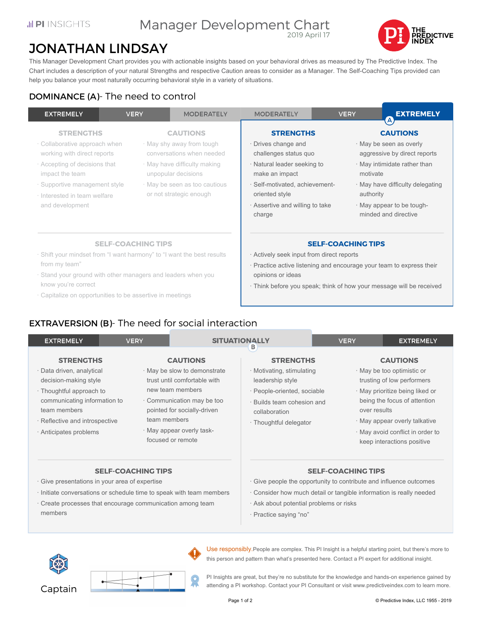#### Manager Development Chart 2019 April 17



# JONATHAN LINDSAY

This Manager Development Chart provides you with actionable insights based on your behavioral drives as measured by The Predictive Index. The Chart includes a description of your natural Strengths and respective Caution areas to consider as a Manager. The Self-Coaching Tips provided can help you balance your most naturally occurring behavioral style in a variety of situations.

## DOMINANCE (A)- The need to control

| <b>EXTREMELY</b>                                                                                                                                                                                                         | <b>VERY</b> | <b>MODERATELY</b>                                                                                                                                                                            | <b>MODERATELY</b>                                                                                                                                                                                                                         | <b>VERY</b>           | <b>EXTREMELY</b><br>$\Delta$                                                                                                                                                                        |
|--------------------------------------------------------------------------------------------------------------------------------------------------------------------------------------------------------------------------|-------------|----------------------------------------------------------------------------------------------------------------------------------------------------------------------------------------------|-------------------------------------------------------------------------------------------------------------------------------------------------------------------------------------------------------------------------------------------|-----------------------|-----------------------------------------------------------------------------------------------------------------------------------------------------------------------------------------------------|
| <b>STRENGTHS</b><br>· Collaborative approach when<br>working with direct reports<br>· Accepting of decisions that<br>impact the team<br>· Supportive management style<br>· Interested in team welfare<br>and development |             | <b>CAUTIONS</b><br>· May shy away from tough<br>conversations when needed<br>· May have difficulty making<br>unpopular decisions<br>· May be seen as too cautious<br>or not strategic enough | <b>STRENGTHS</b><br>· Drives change and<br>challenges status quo<br>· Natural leader seeking to<br>make an impact<br>· Self-motivated, achievement-<br>oriented style<br>Assertive and willing to take<br>charge                          | motivate<br>authority | <b>CAUTIONS</b><br>· May be seen as overly<br>aggressive by direct reports<br>· May intimidate rather than<br>· May have difficulty delegating<br>· May appear to be tough-<br>minded and directive |
| <b>SELF-COACHING TIPS</b><br>· Shift your mindset from "I want harmony" to "I want the best results<br>from my team"<br>· Stand your ground with other managers and leaders when you<br>know you're correct              |             |                                                                                                                                                                                              | <b>SELF-COACHING TIPS</b><br>Actively seek input from direct reports<br>· Practice active listening and encourage your team to express their<br>opinions or ideas<br>· Think before you speak; think of how your message will be received |                       |                                                                                                                                                                                                     |

· Capitalize on opportunities to be assertive in meetings

## EXTRAVERSION (B)- The need for social interaction

| <b>VERY</b><br><b>EXTREMELY</b>                                                                                                                                                                                |              | <b>SITUATIONALLY</b><br>в                                                                                                                                                                                        |                                                                                                                                                                           | <b>VERY</b> | <b>EXTREMELY</b>                                                                                                                                                                                                                                                  |  |
|----------------------------------------------------------------------------------------------------------------------------------------------------------------------------------------------------------------|--------------|------------------------------------------------------------------------------------------------------------------------------------------------------------------------------------------------------------------|---------------------------------------------------------------------------------------------------------------------------------------------------------------------------|-------------|-------------------------------------------------------------------------------------------------------------------------------------------------------------------------------------------------------------------------------------------------------------------|--|
| <b>STRENGTHS</b><br>· Data driven, analytical<br>decision-making style<br>· Thoughtful approach to<br>communicating information to<br>team members<br>· Reflective and introspective<br>· Anticipates problems | team members | <b>CAUTIONS</b><br>· May be slow to demonstrate<br>trust until comfortable with<br>new team members<br>Communication may be too<br>pointed for socially-driven<br>· May appear overly task-<br>focused or remote | <b>STRENGTHS</b><br>· Motivating, stimulating<br>leadership style<br>· People-oriented, sociable<br>· Builds team cohesion and<br>collaboration<br>· Thoughtful delegator |             | <b>CAUTIONS</b><br>· May be too optimistic or<br>trusting of low performers<br>· May prioritize being liked or<br>being the focus of attention<br>over results<br>· May appear overly talkative<br>· May avoid conflict in order to<br>keep interactions positive |  |
| <b>SELF-COACHING TIPS</b><br>· Give presentations in your area of expertise<br>· Initiate conversations or schedule time to speak with team members                                                            |              |                                                                                                                                                                                                                  | <b>SELF-COACHING TIPS</b><br>· Give people the opportunity to contribute and influence outcomes<br>Consider how much detail or tangible information is really needed      |             |                                                                                                                                                                                                                                                                   |  |

- · Create processes that encourage communication among team members
- · Consider how much detail or tangible information is really needed
- · Ask about potential problems or risks
- · Practice saying "no"





Use responsibly.People are complex. This PI Insight is a helpful starting point, but there's more to this person and pattern than what's presented here. Contact a PI expert for additional insight.

PI Insights are great, but they're no substitute for the knowledge and hands-on experience gained by attending a PI workshop. Contact your PI Consultant or visit www.predictiveindex.com to learn more.